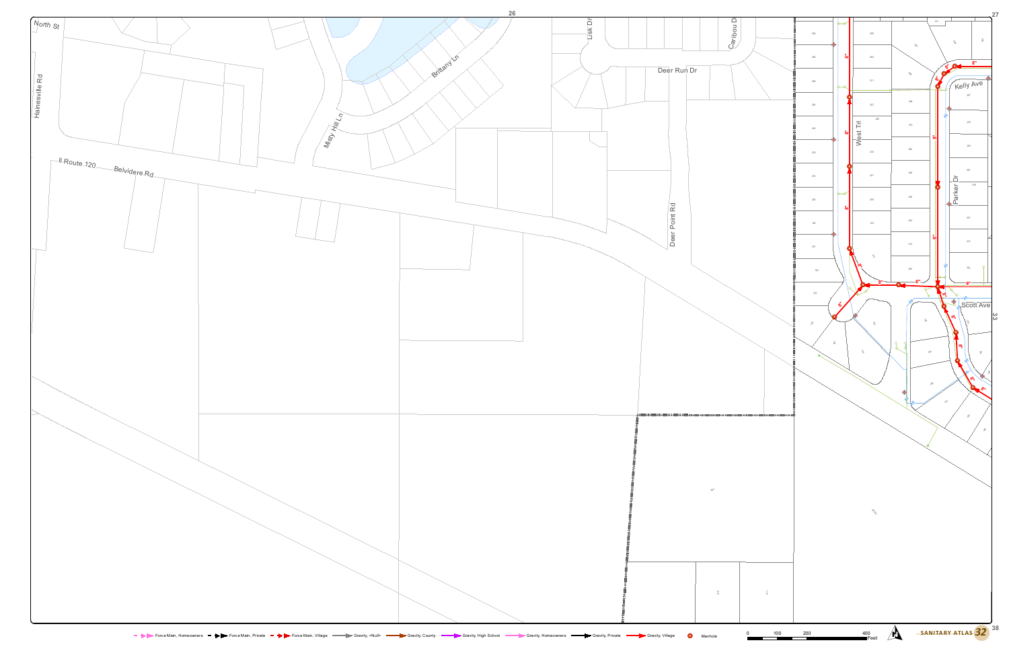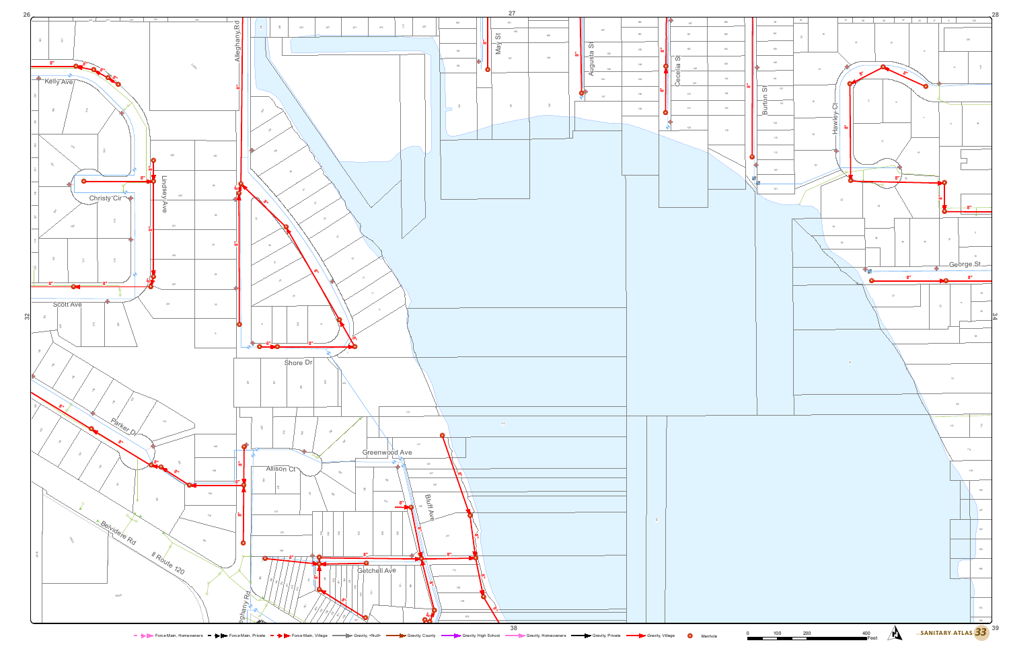